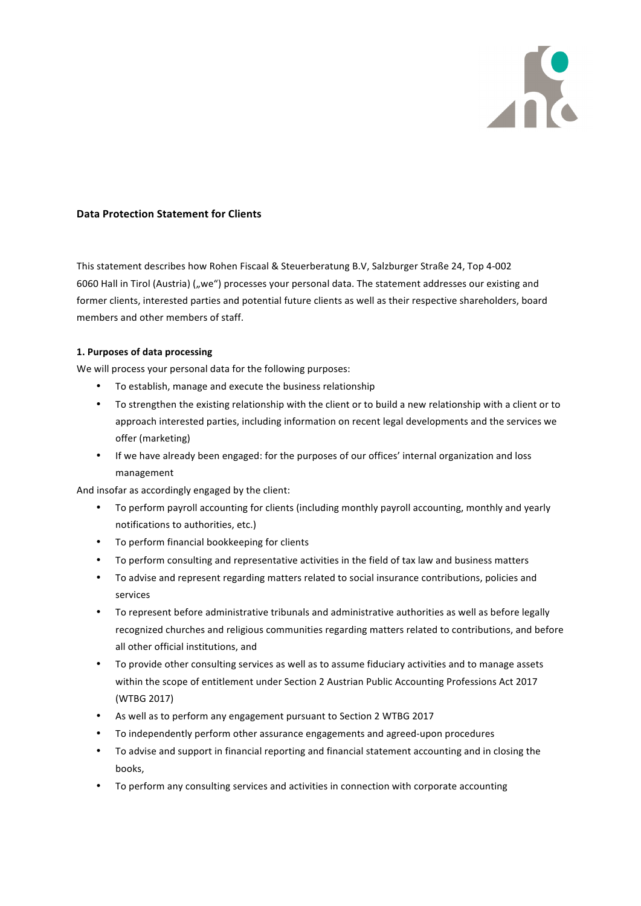

### **Data Protection Statement for Clients**

This statement describes how Rohen Fiscaal & Steuerberatung B.V, Salzburger Straße 24, Top 4-002 6060 Hall in Tirol (Austria) ("we") processes your personal data. The statement addresses our existing and former clients, interested parties and potential future clients as well as their respective shareholders, board members and other members of staff.

#### **1. Purposes of data processing**

We will process your personal data for the following purposes:

- To establish, manage and execute the business relationship
- To strengthen the existing relationship with the client or to build a new relationship with a client or to approach interested parties, including information on recent legal developments and the services we offer (marketing)
- If we have already been engaged: for the purposes of our offices' internal organization and loss management

And insofar as accordingly engaged by the client:

- To perform payroll accounting for clients (including monthly payroll accounting, monthly and yearly notifications to authorities, etc.)
- To perform financial bookkeeping for clients
- To perform consulting and representative activities in the field of tax law and business matters
- To advise and represent regarding matters related to social insurance contributions, policies and services
- To represent before administrative tribunals and administrative authorities as well as before legally recognized churches and religious communities regarding matters related to contributions, and before all other official institutions, and
- To provide other consulting services as well as to assume fiduciary activities and to manage assets within the scope of entitlement under Section 2 Austrian Public Accounting Professions Act 2017 (WTBG 2017)
- As well as to perform any engagement pursuant to Section 2 WTBG 2017
- To independently perform other assurance engagements and agreed-upon procedures
- To advise and support in financial reporting and financial statement accounting and in closing the books,
- To perform any consulting services and activities in connection with corporate accounting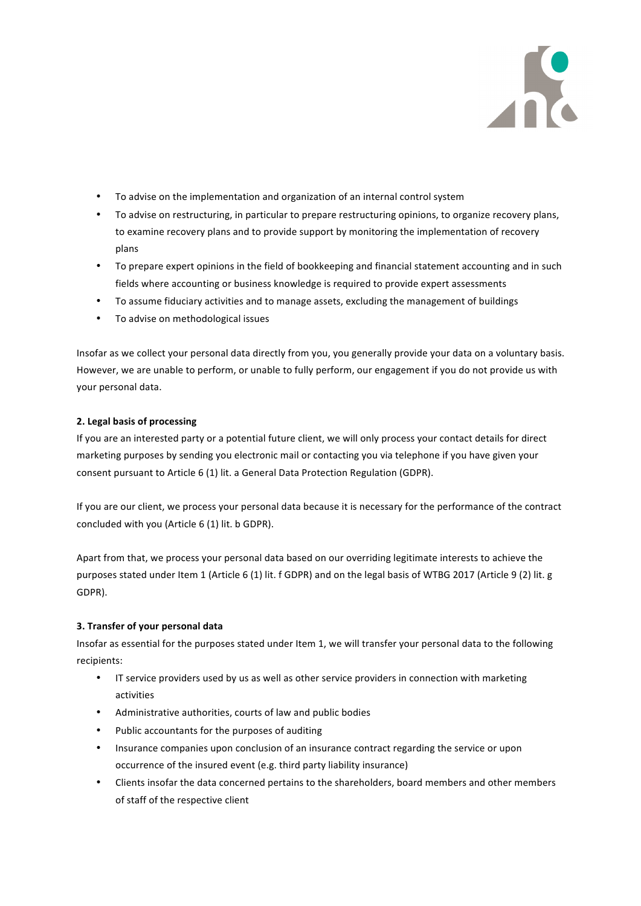

- To advise on the implementation and organization of an internal control system
- To advise on restructuring, in particular to prepare restructuring opinions, to organize recovery plans, to examine recovery plans and to provide support by monitoring the implementation of recovery plans
- To prepare expert opinions in the field of bookkeeping and financial statement accounting and in such fields where accounting or business knowledge is required to provide expert assessments
- To assume fiduciary activities and to manage assets, excluding the management of buildings
- To advise on methodological issues

Insofar as we collect your personal data directly from you, you generally provide your data on a voluntary basis. However, we are unable to perform, or unable to fully perform, our engagement if you do not provide us with vour personal data.

# **2. Legal basis of processing**

If you are an interested party or a potential future client, we will only process your contact details for direct marketing purposes by sending you electronic mail or contacting you via telephone if you have given your consent pursuant to Article 6 (1) lit. a General Data Protection Regulation (GDPR).

If you are our client, we process your personal data because it is necessary for the performance of the contract concluded with you (Article 6 (1) lit. b GDPR).

Apart from that, we process your personal data based on our overriding legitimate interests to achieve the purposes stated under Item 1 (Article 6 (1) lit. f GDPR) and on the legal basis of WTBG 2017 (Article 9 (2) lit. g GDPR).

# **3. Transfer of your personal data**

Insofar as essential for the purposes stated under Item 1, we will transfer your personal data to the following recipients:

- IT service providers used by us as well as other service providers in connection with marketing activities
- Administrative authorities, courts of law and public bodies
- Public accountants for the purposes of auditing
- Insurance companies upon conclusion of an insurance contract regarding the service or upon occurrence of the insured event (e.g. third party liability insurance)
- Clients insofar the data concerned pertains to the shareholders, board members and other members of staff of the respective client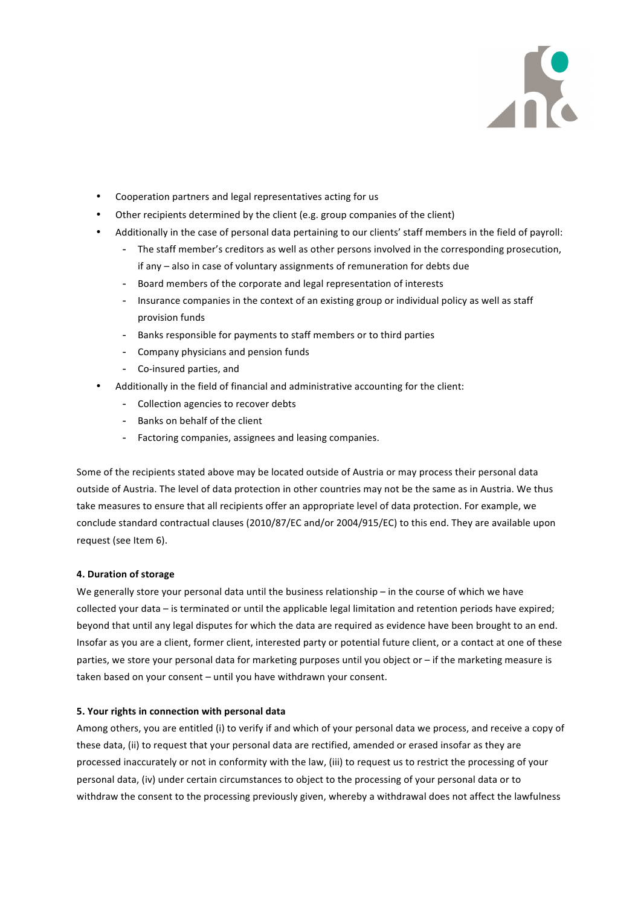

- Cooperation partners and legal representatives acting for us
- Other recipients determined by the client (e.g. group companies of the client)
- Additionally in the case of personal data pertaining to our clients' staff members in the field of payroll:
	- The staff member's creditors as well as other persons involved in the corresponding prosecution, if any – also in case of voluntary assignments of remuneration for debts due
	- Board members of the corporate and legal representation of interests
	- Insurance companies in the context of an existing group or individual policy as well as staff provision funds
	- Banks responsible for payments to staff members or to third parties
	- Company physicians and pension funds
	- Co-insured parties, and
- Additionally in the field of financial and administrative accounting for the client:
	- Collection agencies to recover debts
	- Banks on behalf of the client
	- Factoring companies, assignees and leasing companies.

Some of the recipients stated above may be located outside of Austria or may process their personal data outside of Austria. The level of data protection in other countries may not be the same as in Austria. We thus take measures to ensure that all recipients offer an appropriate level of data protection. For example, we conclude standard contractual clauses (2010/87/EC and/or 2004/915/EC) to this end. They are available upon request (see Item 6).

#### **4. Duration of storage**

We generally store your personal data until the business relationship  $-$  in the course of which we have collected your data – is terminated or until the applicable legal limitation and retention periods have expired; beyond that until any legal disputes for which the data are required as evidence have been brought to an end. Insofar as you are a client, former client, interested party or potential future client, or a contact at one of these parties, we store your personal data for marketing purposes until you object or – if the marketing measure is taken based on your consent - until you have withdrawn your consent.

#### **5. Your rights in connection with personal data**

Among others, you are entitled (i) to verify if and which of your personal data we process, and receive a copy of these data, (ii) to request that your personal data are rectified, amended or erased insofar as they are processed inaccurately or not in conformity with the law, (iii) to request us to restrict the processing of your personal data, (iv) under certain circumstances to object to the processing of your personal data or to withdraw the consent to the processing previously given, whereby a withdrawal does not affect the lawfulness